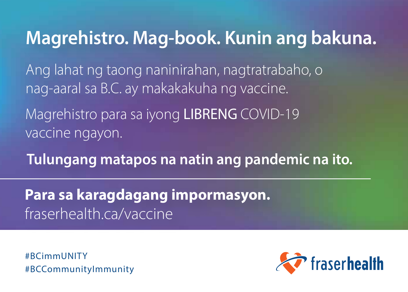# Magrehistro. Mag-book. Kunin ang bakuna.

Ang lahat ng taong naninirahan, nagtratrabaho, o nag-aaral sa B.C. ay makakakuha ng vaccine.

Magrehistro para sa iyong LIBRENG COVID-19 vaccine ngayon.

Tulungang matapos na natin ang pandemic na ito.

Para sa karagdagang impormasyon. fraserhealth.ca/vaccine

#BCimmUNITY #BCCommunityImmunity